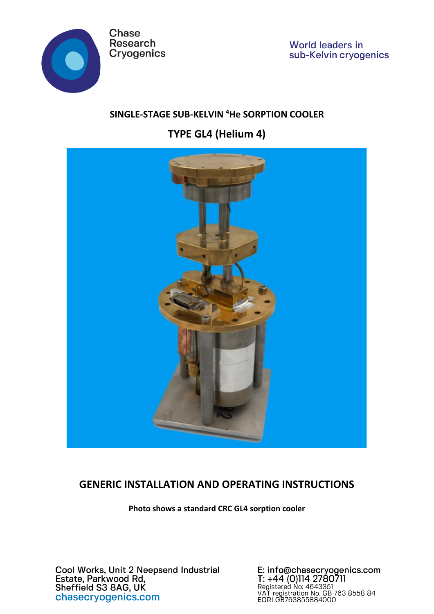

**World leaders in**  $\frac{1}{2}$ sub-Kelvin cryogenics

## **SINGLE-STAGE SUB-KELVIN <sup>4</sup>He SORPTION COOLER**

**TYPE GL4 (Helium 4)**



# **GENERIC INSTALLATION AND OPERATING INSTRUCTIONS**

**Photo shows a standard CRC GL4 sorption cooler**

Cool Works, Unit 2 Neepsend Industrial<br>Estate, Parkwood Rd,<br>Sheffield S3 8AG, UK chasecryogenics.com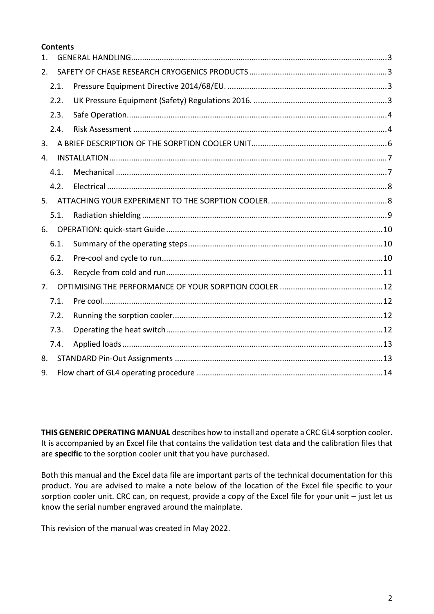#### **Contents**

| $\mathbf{1}$ . |      |  |  |  |  |  |
|----------------|------|--|--|--|--|--|
| 2.             |      |  |  |  |  |  |
|                | 2.1. |  |  |  |  |  |
|                | 2.2. |  |  |  |  |  |
|                | 2.3. |  |  |  |  |  |
|                | 2.4. |  |  |  |  |  |
| 3.             |      |  |  |  |  |  |
| $\mathbf{4}$ . |      |  |  |  |  |  |
|                | 4.1. |  |  |  |  |  |
|                | 4.2. |  |  |  |  |  |
| 5.             |      |  |  |  |  |  |
|                | 5.1. |  |  |  |  |  |
| 6.             |      |  |  |  |  |  |
|                | 6.1. |  |  |  |  |  |
|                | 6.2. |  |  |  |  |  |
|                | 6.3. |  |  |  |  |  |
| 7.             |      |  |  |  |  |  |
|                | 7.1. |  |  |  |  |  |
|                | 7.2. |  |  |  |  |  |
|                | 7.3. |  |  |  |  |  |
|                | 7.4. |  |  |  |  |  |
| 8.             |      |  |  |  |  |  |
| 9.             |      |  |  |  |  |  |

**THIS GENERIC OPERATING MANUAL** describes how to install and operate a CRC GL4 sorption cooler. It is accompanied by an Excel file that contains the validation test data and the calibration files that are **specific** to the sorption cooler unit that you have purchased.

Both this manual and the Excel data file are important parts of the technical documentation for this product. You are advised to make a note below of the location of the Excel file specific to your sorption cooler unit. CRC can, on request, provide a copy of the Excel file for your unit – just let us know the serial number engraved around the mainplate.

This revision of the manual was created in May 2022.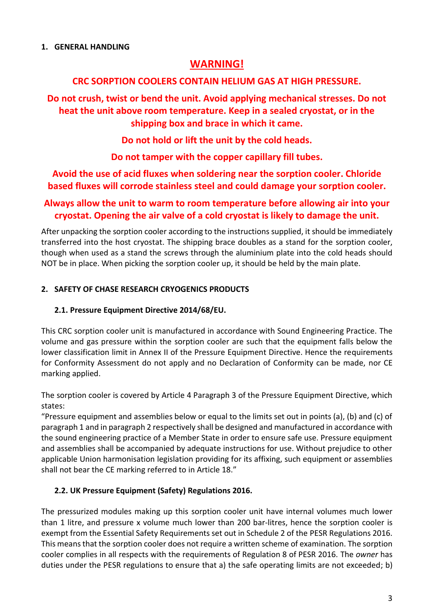## **WARNING!**

## <span id="page-2-0"></span>**CRC SORPTION COOLERS CONTAIN HELIUM GAS AT HIGH PRESSURE.**

**Do not crush, twist or bend the unit. Avoid applying mechanical stresses. Do not heat the unit above room temperature. Keep in a sealed cryostat, or in the shipping box and brace in which it came.**

**Do not hold or lift the unit by the cold heads.**

**Do not tamper with the copper capillary fill tubes.**

**Avoid the use of acid fluxes when soldering near the sorption cooler. Chloride based fluxes will corrode stainless steel and could damage your sorption cooler.**

## **Always allow the unit to warm to room temperature before allowing air into your cryostat. Opening the air valve of a cold cryostat is likely to damage the unit.**

After unpacking the sorption cooler according to the instructions supplied, it should be immediately transferred into the host cryostat. The shipping brace doubles as a stand for the sorption cooler, though when used as a stand the screws through the aluminium plate into the cold heads should NOT be in place. When picking the sorption cooler up, it should be held by the main plate.

## <span id="page-2-1"></span>**2. SAFETY OF CHASE RESEARCH CRYOGENICS PRODUCTS**

## <span id="page-2-2"></span>**2.1. Pressure Equipment Directive 2014/68/EU.**

This CRC sorption cooler unit is manufactured in accordance with Sound Engineering Practice. The volume and gas pressure within the sorption cooler are such that the equipment falls below the lower classification limit in Annex II of the Pressure Equipment Directive. Hence the requirements for Conformity Assessment do not apply and no Declaration of Conformity can be made, nor CE marking applied.

The sorption cooler is covered by Article 4 Paragraph 3 of the Pressure Equipment Directive, which states:

"Pressure equipment and assemblies below or equal to the limits set out in points (a), (b) and (c) of paragraph 1 and in paragraph 2 respectively shall be designed and manufactured in accordance with the sound engineering practice of a Member State in order to ensure safe use. Pressure equipment and assemblies shall be accompanied by adequate instructions for use. Without prejudice to other applicable Union harmonisation legislation providing for its affixing, such equipment or assemblies shall not bear the CE marking referred to in Article 18."

## <span id="page-2-3"></span>**2.2. UK Pressure Equipment (Safety) Regulations 2016.**

The pressurized modules making up this sorption cooler unit have internal volumes much lower than 1 litre, and pressure x volume much lower than 200 bar-litres, hence the sorption cooler is exempt from the Essential Safety Requirements set out in Schedule 2 of the PESR Regulations 2016. This means that the sorption cooler does not require a written scheme of examination. The sorption cooler complies in all respects with the requirements of Regulation 8 of PESR 2016. The *owner* has duties under the PESR regulations to ensure that a) the safe operating limits are not exceeded; b)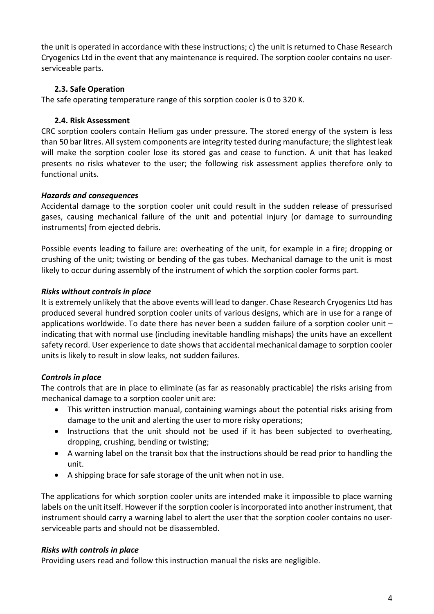the unit is operated in accordance with these instructions; c) the unit is returned to Chase Research Cryogenics Ltd in the event that any maintenance is required. The sorption cooler contains no userserviceable parts.

#### <span id="page-3-0"></span>**2.3. Safe Operation**

<span id="page-3-1"></span>The safe operating temperature range of this sorption cooler is 0 to 320 K.

#### **2.4. Risk Assessment**

CRC sorption coolers contain Helium gas under pressure. The stored energy of the system is less than 50 bar litres. All system components are integrity tested during manufacture; the slightest leak will make the sorption cooler lose its stored gas and cease to function. A unit that has leaked presents no risks whatever to the user; the following risk assessment applies therefore only to functional units.

#### *Hazards and consequences*

Accidental damage to the sorption cooler unit could result in the sudden release of pressurised gases, causing mechanical failure of the unit and potential injury (or damage to surrounding instruments) from ejected debris.

Possible events leading to failure are: overheating of the unit, for example in a fire; dropping or crushing of the unit; twisting or bending of the gas tubes. Mechanical damage to the unit is most likely to occur during assembly of the instrument of which the sorption cooler forms part.

#### *Risks without controls in place*

It is extremely unlikely that the above events will lead to danger. Chase Research Cryogenics Ltd has produced several hundred sorption cooler units of various designs, which are in use for a range of applications worldwide. To date there has never been a sudden failure of a sorption cooler unit – indicating that with normal use (including inevitable handling mishaps) the units have an excellent safety record. User experience to date shows that accidental mechanical damage to sorption cooler units is likely to result in slow leaks, not sudden failures.

### *Controls in place*

The controls that are in place to eliminate (as far as reasonably practicable) the risks arising from mechanical damage to a sorption cooler unit are:

- This written instruction manual, containing warnings about the potential risks arising from damage to the unit and alerting the user to more risky operations;
- Instructions that the unit should not be used if it has been subjected to overheating, dropping, crushing, bending or twisting;
- A warning label on the transit box that the instructions should be read prior to handling the unit.
- A shipping brace for safe storage of the unit when not in use.

The applications for which sorption cooler units are intended make it impossible to place warning labels on the unit itself. However if the sorption cooler is incorporated into another instrument, that instrument should carry a warning label to alert the user that the sorption cooler contains no userserviceable parts and should not be disassembled.

#### *Risks with controls in place*

Providing users read and follow this instruction manual the risks are negligible.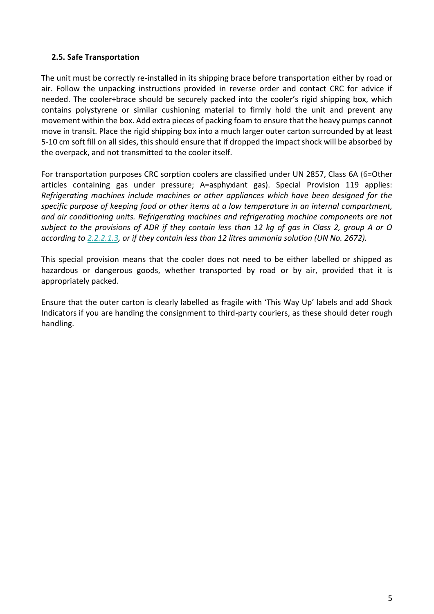#### **2.5. Safe Transportation**

The unit must be correctly re-installed in its shipping brace before transportation either by road or air. Follow the unpacking instructions provided in reverse order and contact CRC for advice if needed. The cooler+brace should be securely packed into the cooler's rigid shipping box, which contains polystyrene or similar cushioning material to firmly hold the unit and prevent any movement within the box. Add extra pieces of packing foam to ensure that the heavy pumps cannot move in transit. Place the rigid shipping box into a much larger outer carton surrounded by at least 5-10 cm soft fill on all sides, this should ensure that if dropped the impact shock will be absorbed by the overpack, and not transmitted to the cooler itself.

For transportation purposes CRC sorption coolers are classified under UN 2857, Class 6A (6=Other articles containing gas under pressure; A=asphyxiant gas). Special Provision 119 applies: *Refrigerating machines include machines or other appliances which have been designed for the specific purpose of keeping food or other items at a low temperature in an internal compartment, and air conditioning units. Refrigerating machines and refrigerating machine components are not subject to the provisions of ADR if they contain less than 12 kg of gas in Class 2, group A or O according to [2.2.2.1.3,](https://adrbook.com/en/2017/ADR/2.2.2.1.3) or if they contain less than 12 litres ammonia solution (UN No. 2672).*

This special provision means that the cooler does not need to be either labelled or shipped as hazardous or dangerous goods, whether transported by road or by air, provided that it is appropriately packed.

Ensure that the outer carton is clearly labelled as fragile with 'This Way Up' labels and add Shock Indicators if you are handing the consignment to third-party couriers, as these should deter rough handling.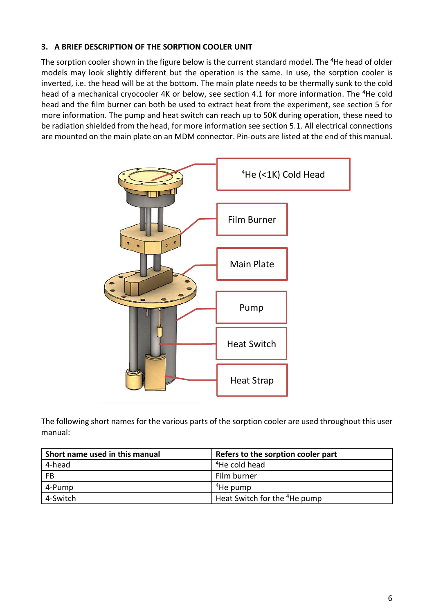#### <span id="page-5-0"></span>**3. A BRIEF DESCRIPTION OF THE SORPTION COOLER UNIT**

The sorption cooler shown in the figure below is the current standard model. The <sup>4</sup>He head of older models may look slightly different but the operation is the same. In use, the sorption cooler is inverted, i.e. the head will be at the bottom. The main plate needs to be thermally sunk to the cold head of a mechanical cryocooler 4K or below, see section 4.1 for more information. The <sup>4</sup>He cold head and the film burner can both be used to extract heat from the experiment, see section 5 for more information. The pump and heat switch can reach up to 50K during operation, these need to be radiation shielded from the head, for more information see section 5.1. All electrical connections are mounted on the main plate on an MDM connector. Pin-outs are listed at the end of this manual.



The following short names for the various parts of the sorption cooler are used throughout this user manual:

| Short name used in this manual | Refers to the sorption cooler part       |
|--------------------------------|------------------------------------------|
| 4-head                         | <sup>4</sup> He cold head                |
| FB                             | Film burner                              |
| 4-Pump                         | <sup>4</sup> He pump                     |
| 4-Switch                       | Heat Switch for the <sup>4</sup> He pump |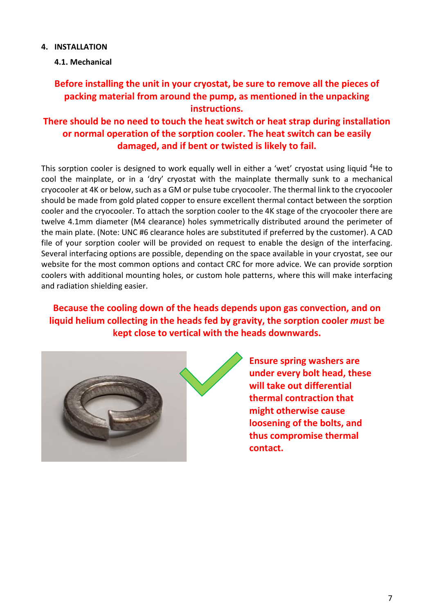#### <span id="page-6-0"></span>**4. INSTALLATION**

<span id="page-6-1"></span>**4.1. Mechanical**

## **Before installing the unit in your cryostat, be sure to remove all the pieces of packing material from around the pump, as mentioned in the unpacking instructions.**

## **There should be no need to touch the heat switch or heat strap during installation or normal operation of the sorption cooler. The heat switch can be easily damaged, and if bent or twisted is likely to fail.**

This sorption cooler is designed to work equally well in either a 'wet' cryostat using liquid <sup>4</sup>He to cool the mainplate, or in a 'dry' cryostat with the mainplate thermally sunk to a mechanical cryocooler at 4K or below, such as a GM or pulse tube cryocooler. The thermal link to the cryocooler should be made from gold plated copper to ensure excellent thermal contact between the sorption cooler and the cryocooler. To attach the sorption cooler to the 4K stage of the cryocooler there are twelve 4.1mm diameter (M4 clearance) holes symmetrically distributed around the perimeter of the main plate. (Note: UNC #6 clearance holes are substituted if preferred by the customer). A CAD file of your sorption cooler will be provided on request to enable the design of the interfacing. Several interfacing options are possible, depending on the space available in your cryostat, see our website for the most common options and contact CRC for more advice. We can provide sorption coolers with additional mounting holes, or custom hole patterns, where this will make interfacing and radiation shielding easier.

**Because the cooling down of the heads depends upon gas convection, and on liquid helium collecting in the heads fed by gravity, the sorption cooler** *mus*t **be kept close to vertical with the heads downwards.**



**Ensure spring washers are under every bolt head, these will take out differential thermal contraction that might otherwise cause loosening of the bolts, and thus compromise thermal contact.**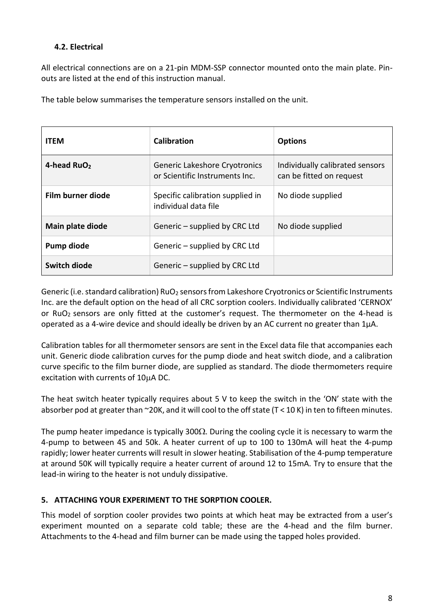### <span id="page-7-0"></span>**4.2. Electrical**

All electrical connections are on a 21-pin MDM-SSP connector mounted onto the main plate. Pinouts are listed at the end of this instruction manual.

The table below summarises the temperature sensors installed on the unit.

| <b>ITEM</b>             | Calibration                                                     | <b>Options</b>                                              |  |
|-------------------------|-----------------------------------------------------------------|-------------------------------------------------------------|--|
| 4-head RuO <sub>2</sub> | Generic Lakeshore Cryotronics<br>or Scientific Instruments Inc. | Individually calibrated sensors<br>can be fitted on request |  |
| Film burner diode       | Specific calibration supplied in<br>individual data file        | No diode supplied                                           |  |
| Main plate diode        | Generic – supplied by CRC Ltd                                   | No diode supplied                                           |  |
| Pump diode              | Generic – supplied by CRC Ltd                                   |                                                             |  |
| Switch diode            | Generic – supplied by CRC Ltd                                   |                                                             |  |

Generic (i.e. standard calibration) RuO<sub>2</sub> sensors from Lakeshore Cryotronics or Scientific Instruments Inc. are the default option on the head of all CRC sorption coolers. Individually calibrated 'CERNOX' or RuO<sub>2</sub> sensors are only fitted at the customer's request. The thermometer on the 4-head is operated as a 4-wire device and should ideally be driven by an AC current no greater than  $1\mu$ A.

Calibration tables for all thermometer sensors are sent in the Excel data file that accompanies each unit. Generic diode calibration curves for the pump diode and heat switch diode, and a calibration curve specific to the film burner diode, are supplied as standard. The diode thermometers require excitation with currents of  $10\mu$ A DC.

The heat switch heater typically requires about 5 V to keep the switch in the 'ON' state with the absorber pod at greater than ~20K, and it will cool to the off state (T < 10 K) in ten to fifteen minutes.

The pump heater impedance is typically 300 $\Omega$ . During the cooling cycle it is necessary to warm the 4-pump to between 45 and 50k. A heater current of up to 100 to 130mA will heat the 4-pump rapidly; lower heater currents will result in slower heating. Stabilisation of the 4-pump temperature at around 50K will typically require a heater current of around 12 to 15mA. Try to ensure that the lead-in wiring to the heater is not unduly dissipative.

#### <span id="page-7-1"></span>**5. ATTACHING YOUR EXPERIMENT TO THE SORPTION COOLER.**

This model of sorption cooler provides two points at which heat may be extracted from a user's experiment mounted on a separate cold table; these are the 4-head and the film burner. Attachments to the 4-head and film burner can be made using the tapped holes provided.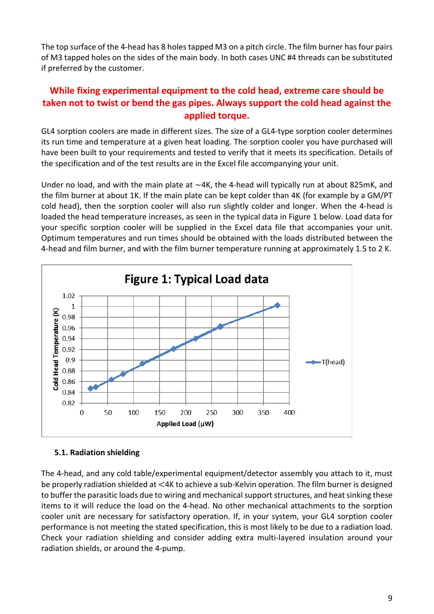The top surface of the 4-head has 8 holes tapped M3 on a pitch circle. The film burner has four pairs of M3 tapped holes on the sides of the main body. In both cases UNC #4 threads can be substituted if preferred by the customer.

## **While fixing experimental equipment to the cold head, extreme care should be taken not to twist or bend the gas pipes. Always support the cold head against the applied torque.**

GL4 sorption coolers are made in different sizes. The size of a GL4-type sorption cooler determines its run time and temperature at a given heat loading. The sorption cooler you have purchased will have been built to your requirements and tested to verify that it meets its specification. Details of the specification and of the test results are in the Excel file accompanying your unit.

Under no load, and with the main plate at ~4K, the 4-head will typically run at about 825mK, and the film burner at about 1K. If the main plate can be kept colder than 4K (for example by a GM/PT cold head), then the sorption cooler will also run slightly colder and longer. When the 4-head is loaded the head temperature increases, as seen in the typical data in Figure 1 below. Load data for your specific sorption cooler will be supplied in the Excel data file that accompanies your unit. Optimum temperatures and run times should be obtained with the loads distributed between the 4-head and film burner, and with the film burner temperature running at approximately 1.5 to 2 K.



#### <span id="page-8-0"></span>**5.1. Radiation shielding**

The 4-head, and any cold table/experimental equipment/detector assembly you attach to it, must be properly radiation shielded at <4K to achieve a sub-Kelvin operation. The film burner is designed to buffer the parasitic loads due to wiring and mechanical support structures, and heat sinking these items to it will reduce the load on the 4-head. No other mechanical attachments to the sorption cooler unit are necessary for satisfactory operation. If, in your system, your GL4 sorption cooler performance is not meeting the stated specification, this is most likely to be due to a radiation load. Check your radiation shielding and consider adding extra multi-layered insulation around your radiation shields, or around the 4-pump.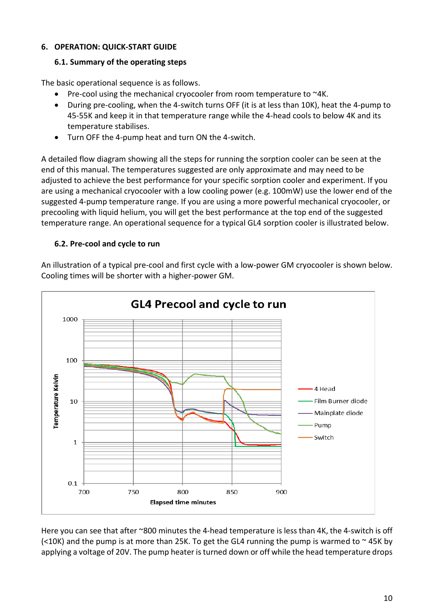#### <span id="page-9-0"></span>**6. OPERATION: QUICK-START GUIDE**

#### <span id="page-9-1"></span>**6.1. Summary of the operating steps**

The basic operational sequence is as follows.

- Pre-cool using the mechanical cryocooler from room temperature to ~4K.
- During pre-cooling, when the 4-switch turns OFF (it is at less than 10K), heat the 4-pump to 45-55K and keep it in that temperature range while the 4-head cools to below 4K and its temperature stabilises.
- Turn OFF the 4-pump heat and turn ON the 4-switch.

A detailed flow diagram showing all the steps for running the sorption cooler can be seen at the end of this manual. The temperatures suggested are only approximate and may need to be adjusted to achieve the best performance for your specific sorption cooler and experiment. If you are using a mechanical cryocooler with a low cooling power (e.g. 100mW) use the lower end of the suggested 4-pump temperature range. If you are using a more powerful mechanical cryocooler, or precooling with liquid helium, you will get the best performance at the top end of the suggested temperature range. An operational sequence for a typical GL4 sorption cooler is illustrated below.

#### <span id="page-9-2"></span>**6.2. Pre-cool and cycle to run**

An illustration of a typical pre-cool and first cycle with a low-power GM cryocooler is shown below. Cooling times will be shorter with a higher-power GM.



Here you can see that after ~800 minutes the 4-head temperature is less than 4K, the 4-switch is off (<10K) and the pump is at more than 25K. To get the GL4 running the pump is warmed to  $\sim$  45K by applying a voltage of 20V. The pump heater is turned down or off while the head temperature drops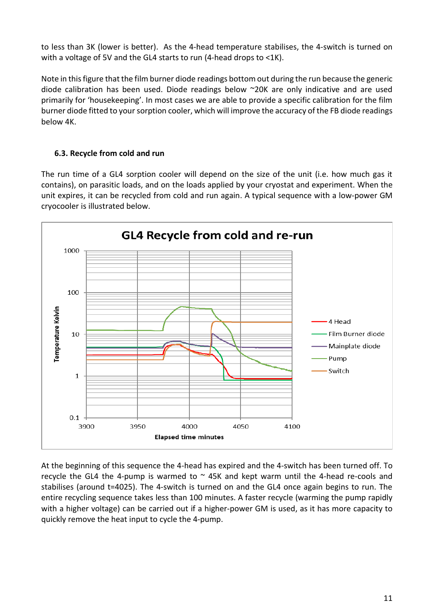to less than 3K (lower is better). As the 4-head temperature stabilises, the 4-switch is turned on with a voltage of 5V and the GL4 starts to run (4-head drops to <1K).

Note in this figure that the film burner diode readings bottom out during the run because the generic diode calibration has been used. Diode readings below ~20K are only indicative and are used primarily for 'housekeeping'. In most cases we are able to provide a specific calibration for the film burner diode fitted to your sorption cooler, which will improve the accuracy of the FB diode readings below 4K.

#### <span id="page-10-0"></span>**6.3. Recycle from cold and run**

The run time of a GL4 sorption cooler will depend on the size of the unit (i.e. how much gas it contains), on parasitic loads, and on the loads applied by your cryostat and experiment. When the unit expires, it can be recycled from cold and run again. A typical sequence with a low-power GM cryocooler is illustrated below.



At the beginning of this sequence the 4-head has expired and the 4-switch has been turned off. To recycle the GL4 the 4-pump is warmed to  $\sim$  45K and kept warm until the 4-head re-cools and stabilises (around t=4025). The 4-switch is turned on and the GL4 once again begins to run. The entire recycling sequence takes less than 100 minutes. A faster recycle (warming the pump rapidly with a higher voltage) can be carried out if a higher-power GM is used, as it has more capacity to quickly remove the heat input to cycle the 4-pump.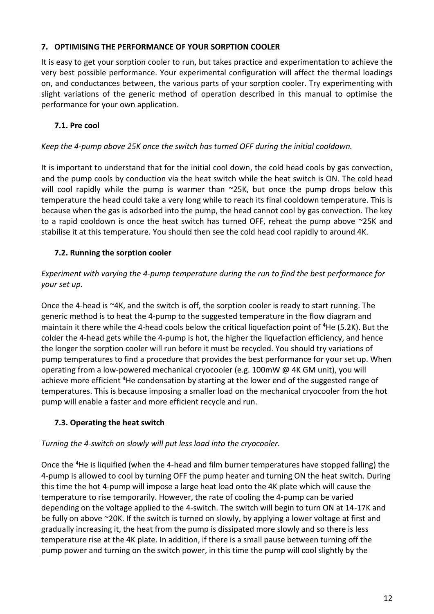#### <span id="page-11-0"></span>**7. OPTIMISING THE PERFORMANCE OF YOUR SORPTION COOLER**

It is easy to get your sorption cooler to run, but takes practice and experimentation to achieve the very best possible performance. Your experimental configuration will affect the thermal loadings on, and conductances between, the various parts of your sorption cooler. Try experimenting with slight variations of the generic method of operation described in this manual to optimise the performance for your own application.

### <span id="page-11-1"></span>**7.1. Pre cool**

### *Keep the 4-pump above 25K once the switch has turned OFF during the initial cooldown.*

It is important to understand that for the initial cool down, the cold head cools by gas convection, and the pump cools by conduction via the heat switch while the heat switch is ON. The cold head will cool rapidly while the pump is warmer than ~25K, but once the pump drops below this temperature the head could take a very long while to reach its final cooldown temperature. This is because when the gas is adsorbed into the pump, the head cannot cool by gas convection. The key to a rapid cooldown is once the heat switch has turned OFF, reheat the pump above ~25K and stabilise it at this temperature. You should then see the cold head cool rapidly to around 4K.

### <span id="page-11-2"></span>**7.2. Running the sorption cooler**

### *Experiment with varying the 4-pump temperature during the run to find the best performance for your set up.*

Once the 4-head is ~4K, and the switch is off, the sorption cooler is ready to start running. The generic method is to heat the 4-pump to the suggested temperature in the flow diagram and maintain it there while the 4-head cools below the critical liquefaction point of  ${}^{4}$ He (5.2K). But the colder the 4-head gets while the 4-pump is hot, the higher the liquefaction efficiency, and hence the longer the sorption cooler will run before it must be recycled. You should try variations of pump temperatures to find a procedure that provides the best performance for your set up. When operating from a low-powered mechanical cryocooler (e.g. 100mW @ 4K GM unit), you will achieve more efficient <sup>4</sup>He condensation by starting at the lower end of the suggested range of temperatures. This is because imposing a smaller load on the mechanical cryocooler from the hot pump will enable a faster and more efficient recycle and run.

### <span id="page-11-3"></span>**7.3. Operating the heat switch**

### *Turning the 4-switch on slowly will put less load into the cryocooler.*

Once the <sup>4</sup>He is liquified (when the 4-head and film burner temperatures have stopped falling) the 4-pump is allowed to cool by turning OFF the pump heater and turning ON the heat switch. During this time the hot 4-pump will impose a large heat load onto the 4K plate which will cause the temperature to rise temporarily. However, the rate of cooling the 4-pump can be varied depending on the voltage applied to the 4-switch. The switch will begin to turn ON at 14-17K and be fully on above ~20K. If the switch is turned on slowly, by applying a lower voltage at first and gradually increasing it, the heat from the pump is dissipated more slowly and so there is less temperature rise at the 4K plate. In addition, if there is a small pause between turning off the pump power and turning on the switch power, in this time the pump will cool slightly by the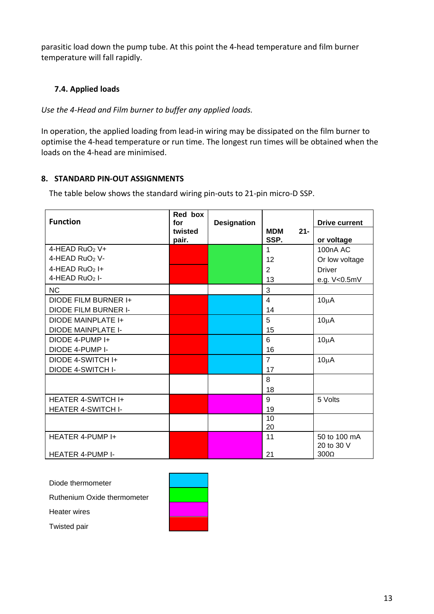parasitic load down the pump tube. At this point the 4-head temperature and film burner temperature will fall rapidly.

#### <span id="page-12-0"></span>**7.4. Applied loads**

*Use the 4-Head and Film burner to buffer any applied loads.*

In operation, the applied loading from lead-in wiring may be dissipated on the film burner to optimise the 4-head temperature or run time. The longest run times will be obtained when the loads on the 4-head are minimised.

#### <span id="page-12-1"></span>**8. STANDARD PIN-OUT ASSIGNMENTS**

The table below shows the standard wiring pin-outs to 21-pin micro-D SSP.

| <b>Function</b>            | Red box<br>for<br>twisted | <b>Designation</b> | <b>MDM</b><br>$21 -$ | <b>Drive current</b>       |
|----------------------------|---------------------------|--------------------|----------------------|----------------------------|
|                            | pair.                     |                    | SSP.                 | or voltage                 |
| 4-HEAD RuO <sub>2</sub> V+ |                           |                    | $\mathbf{1}$         | 100 <sub>n</sub> A AC      |
| 4-HEAD RuO <sub>2</sub> V- |                           |                    | 12                   | Or low voltage             |
| 4-HEAD $RuO2$ I+           |                           |                    | 2                    | <b>Driver</b>              |
| 4-HEAD $RuO2$ I-           |                           |                    | 13                   | e.g. V<0.5mV               |
| <b>NC</b>                  |                           |                    | 3                    |                            |
| DIODE FILM BURNER I+       |                           |                    | $\overline{4}$       | $10\mu A$                  |
| DIODE FILM BURNER I-       |                           |                    | 14                   |                            |
| DIODE MAINPLATE I+         |                           |                    | 5                    | $10\mu A$                  |
| <b>DIODE MAINPLATE I-</b>  |                           |                    | 15                   |                            |
| DIODE 4-PUMP I+            |                           |                    | 6                    | $10\mu A$                  |
| DIODE 4-PUMP I-            |                           |                    | 16                   |                            |
| DIODE 4-SWITCH I+          |                           |                    | $\overline{7}$       | $10\mu A$                  |
| <b>DIODE 4-SWITCH I-</b>   |                           |                    | 17                   |                            |
|                            |                           |                    | 8                    |                            |
|                            |                           |                    | 18                   |                            |
| <b>HEATER 4-SWITCH I+</b>  |                           |                    | 9                    | 5 Volts                    |
| <b>HEATER 4-SWITCH I-</b>  |                           |                    | 19                   |                            |
|                            |                           |                    | 10                   |                            |
|                            |                           |                    | 20                   |                            |
| HEATER 4-PUMP I+           |                           |                    | 11                   | 50 to 100 mA<br>20 to 30 V |
| <b>HEATER 4-PUMP I-</b>    |                           |                    | 21                   | $300\Omega$                |

Diode thermometer

Ruthenium Oxide thermometer

Heater wires



Twisted pair